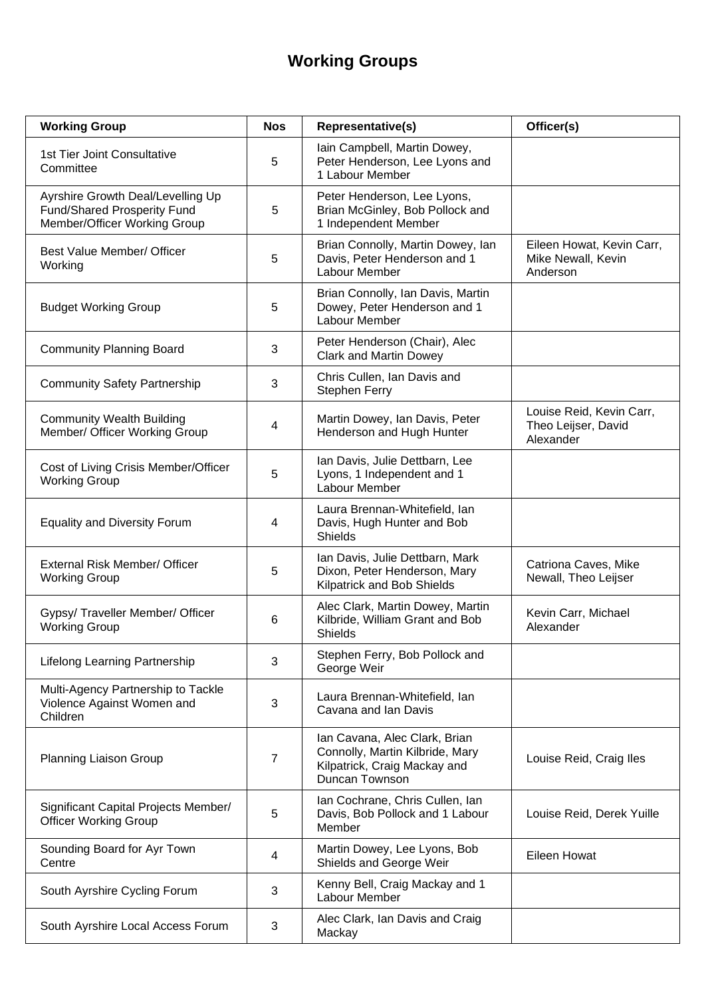## **Working Groups**

| <b>Working Group</b>                                                                             | <b>Nos</b> | Representative(s)                                                                                                         | Officer(s)                                                   |
|--------------------------------------------------------------------------------------------------|------------|---------------------------------------------------------------------------------------------------------------------------|--------------------------------------------------------------|
| 1st Tier Joint Consultative<br>Committee                                                         | 5          | Iain Campbell, Martin Dowey,<br>Peter Henderson, Lee Lyons and<br>1 Labour Member                                         |                                                              |
| Ayrshire Growth Deal/Levelling Up<br>Fund/Shared Prosperity Fund<br>Member/Officer Working Group | 5          | Peter Henderson, Lee Lyons,<br>Brian McGinley, Bob Pollock and<br>1 Independent Member                                    |                                                              |
| Best Value Member/ Officer<br>Working                                                            | 5          | Brian Connolly, Martin Dowey, Ian<br>Davis, Peter Henderson and 1<br>Labour Member                                        | Eileen Howat, Kevin Carr,<br>Mike Newall, Kevin<br>Anderson  |
| <b>Budget Working Group</b>                                                                      | 5          | Brian Connolly, Ian Davis, Martin<br>Dowey, Peter Henderson and 1<br>Labour Member                                        |                                                              |
| <b>Community Planning Board</b>                                                                  | 3          | Peter Henderson (Chair), Alec<br><b>Clark and Martin Dowey</b>                                                            |                                                              |
| <b>Community Safety Partnership</b>                                                              | 3          | Chris Cullen, Ian Davis and<br>Stephen Ferry                                                                              |                                                              |
| <b>Community Wealth Building</b><br>Member/ Officer Working Group                                | 4          | Martin Dowey, Ian Davis, Peter<br>Henderson and Hugh Hunter                                                               | Louise Reid, Kevin Carr,<br>Theo Leijser, David<br>Alexander |
| Cost of Living Crisis Member/Officer<br><b>Working Group</b>                                     | 5          | Ian Davis, Julie Dettbarn, Lee<br>Lyons, 1 Independent and 1<br>Labour Member                                             |                                                              |
| <b>Equality and Diversity Forum</b>                                                              | 4          | Laura Brennan-Whitefield, Ian<br>Davis, Hugh Hunter and Bob<br><b>Shields</b>                                             |                                                              |
| External Risk Member/ Officer<br><b>Working Group</b>                                            | 5          | Ian Davis, Julie Dettbarn, Mark<br>Dixon, Peter Henderson, Mary<br>Kilpatrick and Bob Shields                             | Catriona Caves, Mike<br>Newall, Theo Leijser                 |
| Gypsy/ Traveller Member/ Officer<br><b>Working Group</b>                                         | 6          | Alec Clark, Martin Dowey, Martin<br>Kilbride, William Grant and Bob<br><b>Shields</b>                                     | Kevin Carr, Michael<br>Alexander                             |
| Lifelong Learning Partnership                                                                    | 3          | Stephen Ferry, Bob Pollock and<br>George Weir                                                                             |                                                              |
| Multi-Agency Partnership to Tackle<br>Violence Against Women and<br>Children                     | 3          | Laura Brennan-Whitefield, Ian<br>Cavana and Ian Davis                                                                     |                                                              |
| Planning Liaison Group                                                                           | 7          | Ian Cavana, Alec Clark, Brian<br>Connolly, Martin Kilbride, Mary<br>Kilpatrick, Craig Mackay and<br><b>Duncan Townson</b> | Louise Reid, Craig Iles                                      |
| Significant Capital Projects Member/<br><b>Officer Working Group</b>                             | 5          | Ian Cochrane, Chris Cullen, Ian<br>Davis, Bob Pollock and 1 Labour<br>Member                                              | Louise Reid, Derek Yuille                                    |
| Sounding Board for Ayr Town<br>Centre                                                            | 4          | Martin Dowey, Lee Lyons, Bob<br>Shields and George Weir                                                                   | Eileen Howat                                                 |
| South Ayrshire Cycling Forum                                                                     | 3          | Kenny Bell, Craig Mackay and 1<br>Labour Member                                                                           |                                                              |
| South Ayrshire Local Access Forum                                                                | 3          | Alec Clark, Ian Davis and Craig<br>Mackay                                                                                 |                                                              |